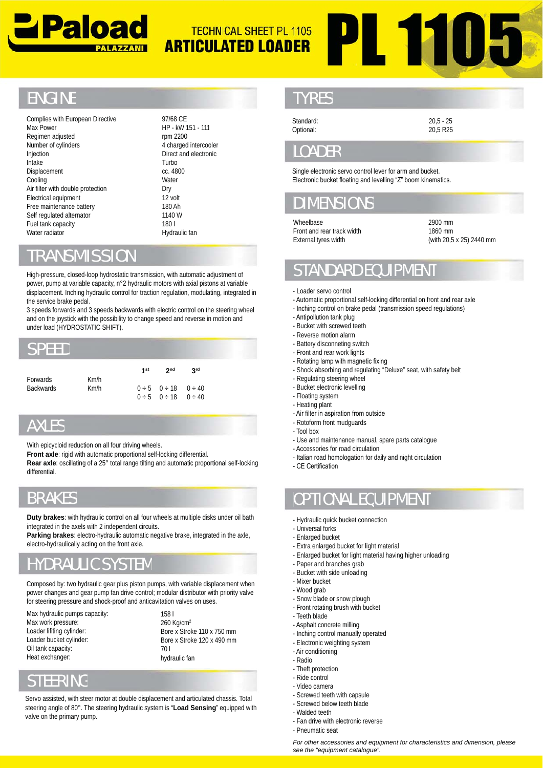

# **PL 1105** TECHNICAL SHEET PL 1105 **ARTICULATED LOADER**

# **ENGINE**

Complies with European Directive Max Power Regimen adjusted Number of cylinders Injection Intake Displacement Cooling Air filter with double protection Electrical equipment Free maintenance battery battery Self regulated alternator Fuel tank capacity Water radiator radiator Number of cylinders<br>
Injection<br>
Intake<br>
Displacement<br>
Cooling<br>
Air filter with double protect<br>
Electrical equipment<br>
Free maintenance battery<br>
Self regulated alternator<br>
Fuel tank capacity<br>
Water radiator<br>
Water radiator<br>

97/68 CE 97/68 HP - kW 151 - 111 rpm 2200 4 charged intercooler Direct and electronic Direct Turbo cc. 4800 **Water** Dry 12 volt 180 Ah 180 1140 W 180 l 180

Hydraulic fan

### RANSMISSION

High-pressure, closed-loop hydrostatic transmission, with automatic adjustment of power, pump at variable capacity, n°2 hydraulic motors with axial pistons at variable power, displacement. Inching hydraulic control for traction regulation, modulating, integrated in the service brake pedal.

3 speeds forwards and 3 speeds backwards with electric control on the steering wheel and on the joystick with the possibility to change speed and reverse in motion and under load (HYDROSTATIC SHIFT).

#### PFFD

|                  |      | 1st | 2 <sub>nd</sub>                    | <b>Rrd</b> |  |
|------------------|------|-----|------------------------------------|------------|--|
| <b>Forwards</b>  | Km/h |     |                                    |            |  |
| <b>Backwards</b> | Km/h |     | $0 \div 5$ $0 \div 18$ $0 \div 40$ |            |  |
|                  |      |     | $0 \div 5$ $0 \div 18$ $0 \div 40$ |            |  |

# **AXI FS**

With epicycloid reduction on all four driving wheels.

Front axle: rigid with automatic proportional self-locking differential.

Rear axle: oscillating of a 25° total range tilting and automatic proportional self-locking differential.

# BRAKES

**Duty brakes**: with hydraulic control on all four wheels at multiple disks under oil bath integrated in the axels with 2 independent circuits.

Parking brakes: electro-hydraulic automatic negative brake, integrated in the axle, electro-hydraulically acting on the front axle.

# HYDRAULIC SYSTEM

Composed by: two hydraulic gear plus piston pumps, with variable displacement when power changes and gear pump fan drive control; modular distributor with priority valve for steering pressure and shock-proof and anticavitation valves on uses.

Max hydraulic pumps capacity: Max work pressure: Loader lifiting cylinder: Loader bucket cylinder: Oil tank capacity: Heat exchanger:

158 l 158 260 Kg/cm2 Bore x Stroke 110 x 750 mm Bore x Stroke 120 x 490 mm 70 l hydraulic fan

# STEERING

Servo assisted, with steer motor at double displacement and articulated chassis. Total Frankright and articulated chassis. Total<br>**STEERING**<br>Servo assisted, with steer motor at double displacement and articulated chassis. Total<br>steering angle of 80°. The steering hydraulic system is "**Load Sensing**" equipped valve on the primary pump.

#### **TYRES**

Standard: Optional:

20,5 - 25 20,5 R25

#### **OADER**

Single electronic servo control lever for arm and bucket. Electronic bucket floating and levelling "Z" boom kinematics.

## DIMENSIONS

Wheelbase

Front and rear track width External tyres width

2900 mm 1860 mm (with 20,5 x 25) 2440 mm

# STANDARD EQUIPMENT

- Loader servo control
- Automatic proportional self-locking differential on front and rear axle
- Inching control on brake pedal (transmission speed regulations)
- Antipollution tank plug
- Bucket with screwed teeth
- Reverse motion alarm Reverse
- Battery disconneting switch
- Front and rear work lights
- Rotating lamp with magnetic fixing
- Shock absorbing and regulating "Deluxe" seat, with safety belt
- Regulating steering wheel
- Bucket electronic levelling - Floating system Regulating steering<br>Bucket electronic lev<br>Floating system<br>Heating plant
- Heating plant
- Air filter in aspiration from outside
- Rotoform front mudguards
- Tool box Tool
- Use and maintenance manual, spare parts catalogue
- Accessories for road circulation Accessories
- Italian road homologation for daily and night circulation
- CF Certification

# OPTIONAL EQUIPMENT

- Hydraulic quick bucket connection
- Universal forks
- Enlarged bucket
- Extra enlarged bucket for light material
- Enlarged bucket for light material having higher unloading
- Paper and branches grab
- Bucket with side unloading
- Mixer bucket
- Wood grab
- Snow blade or snow plough -
- Front rotating brush with bucket
- Teeth blade
- Asphalt concrete milling
- Inching control manually operated
- Electronic weighting system
- Air conditioning
- Radio
	- Theft protection
	- Ride control
	- Video camera
	- Screwed teeth with capsule -
	- Screwed below teeth blade Screwed below teeth
	- Walded teeth Walded
	- Fan drive with electronic reverse
	- Pneumatic seat

*For other accessories and equipment for characteristics and dimension, please please see the "equipment catalogue".*